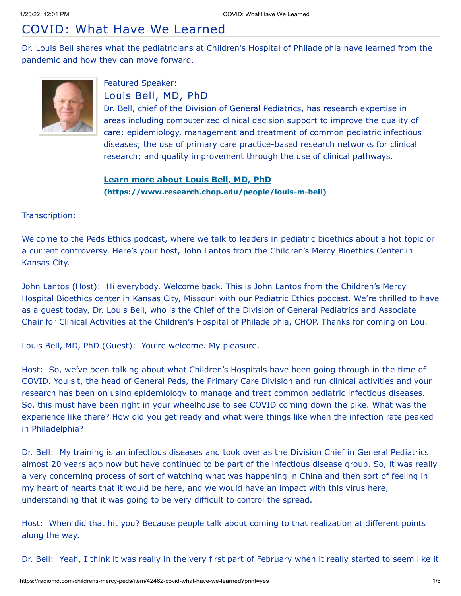# COVID: What Have We Learned

Dr. Louis Bell shares what the pediatricians at Children's Hospital of Philadelphia have learned from the pandemic and how they can move forward.



## Featured Speaker: Louis Bell, MD, PhD

Dr. Bell, chief of the Division of General Pediatrics, has research expertise in areas including computerized clinical decision support to improve the quality of care; epidemiology, management and treatment of common pediatric infectious diseases; the use of primary care practice-based research networks for clinical research; and quality improvement through the use of clinical pathways.

## **Learn more about Louis Bell, MD, PhD [\(https://www.research.chop.edu/people/louis-m-bell\)](https://www.research.chop.edu/people/louis-m-bell)**

Transcription:

Welcome to the Peds Ethics podcast, where we talk to leaders in pediatric bioethics about a hot topic or a current controversy. Here's your host, John Lantos from the Children's Mercy Bioethics Center in Kansas City.

John Lantos (Host): Hi everybody. Welcome back. This is John Lantos from the Children's Mercy Hospital Bioethics center in Kansas City, Missouri with our Pediatric Ethics podcast. We're thrilled to have as a guest today, Dr. Louis Bell, who is the Chief of the Division of General Pediatrics and Associate Chair for Clinical Activities at the Children's Hospital of Philadelphia, CHOP. Thanks for coming on Lou.

Louis Bell, MD, PhD (Guest): You're welcome. My pleasure.

Host: So, we've been talking about what Children's Hospitals have been going through in the time of COVID. You sit, the head of General Peds, the Primary Care Division and run clinical activities and your research has been on using epidemiology to manage and treat common pediatric infectious diseases. So, this must have been right in your wheelhouse to see COVID coming down the pike. What was the experience like there? How did you get ready and what were things like when the infection rate peaked in Philadelphia?

Dr. Bell: My training is an infectious diseases and took over as the Division Chief in General Pediatrics almost 20 years ago now but have continued to be part of the infectious disease group. So, it was really a very concerning process of sort of watching what was happening in China and then sort of feeling in my heart of hearts that it would be here, and we would have an impact with this virus here, understanding that it was going to be very difficult to control the spread.

Host: When did that hit you? Because people talk about coming to that realization at different points along the way.

Dr. Bell: Yeah, I think it was really in the very first part of February when it really started to seem like it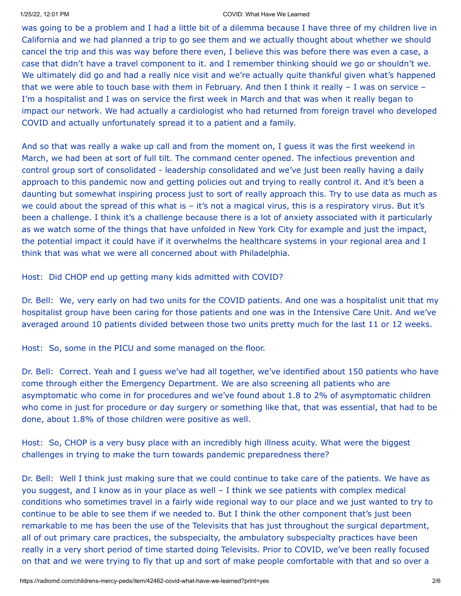### 1/25/22, 12:01 PM COVID: What Have We Learned

was going to be a problem and I had a little bit of a dilemma because I have three of my children live in California and we had planned a trip to go see them and we actually thought about whether we should cancel the trip and this was way before there even, I believe this was before there was even a case, a case that didn't have a travel component to it. and I remember thinking should we go or shouldn't we. We ultimately did go and had a really nice visit and we're actually quite thankful given what's happened that we were able to touch base with them in February. And then I think it really – I was on service – I'm a hospitalist and I was on service the first week in March and that was when it really began to impact our network. We had actually a cardiologist who had returned from foreign travel who developed COVID and actually unfortunately spread it to a patient and a family.

And so that was really a wake up call and from the moment on, I guess it was the first weekend in March, we had been at sort of full tilt. The command center opened. The infectious prevention and control group sort of consolidated - leadership consolidated and we've just been really having a daily approach to this pandemic now and getting policies out and trying to really control it. And it's been a daunting but somewhat inspiring process just to sort of really approach this. Try to use data as much as we could about the spread of this what is – it's not a magical virus, this is a respiratory virus. But it's been a challenge. I think it's a challenge because there is a lot of anxiety associated with it particularly as we watch some of the things that have unfolded in New York City for example and just the impact, the potential impact it could have if it overwhelms the healthcare systems in your regional area and I think that was what we were all concerned about with Philadelphia.

Host: Did CHOP end up getting many kids admitted with COVID?

Dr. Bell: We, very early on had two units for the COVID patients. And one was a hospitalist unit that my hospitalist group have been caring for those patients and one was in the Intensive Care Unit. And we've averaged around 10 patients divided between those two units pretty much for the last 11 or 12 weeks.

Host: So, some in the PICU and some managed on the floor.

Dr. Bell: Correct. Yeah and I guess we've had all together, we've identified about 150 patients who have come through either the Emergency Department. We are also screening all patients who are asymptomatic who come in for procedures and we've found about 1.8 to 2% of asymptomatic children who come in just for procedure or day surgery or something like that, that was essential, that had to be done, about 1.8% of those children were positive as well.

Host: So, CHOP is a very busy place with an incredibly high illness acuity. What were the biggest challenges in trying to make the turn towards pandemic preparedness there?

Dr. Bell: Well I think just making sure that we could continue to take care of the patients. We have as you suggest, and I know as in your place as well – I think we see patients with complex medical conditions who sometimes travel in a fairly wide regional way to our place and we just wanted to try to continue to be able to see them if we needed to. But I think the other component that's just been remarkable to me has been the use of the Televisits that has just throughout the surgical department, all of out primary care practices, the subspecialty, the ambulatory subspecialty practices have been really in a very short period of time started doing Televisits. Prior to COVID, we've been really focused on that and we were trying to fly that up and sort of make people comfortable with that and so over a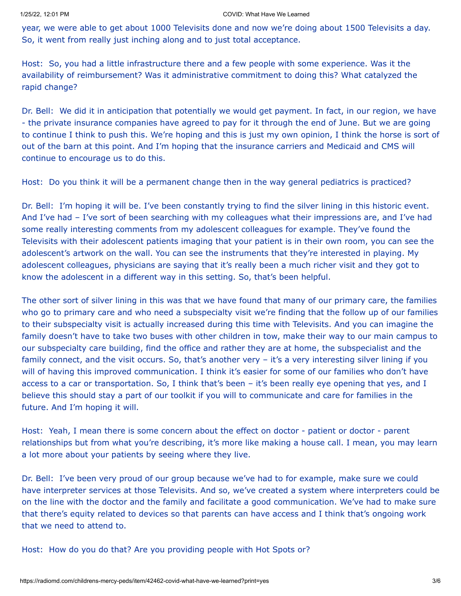year, we were able to get about 1000 Televisits done and now we're doing about 1500 Televisits a day. So, it went from really just inching along and to just total acceptance.

Host: So, you had a little infrastructure there and a few people with some experience. Was it the availability of reimbursement? Was it administrative commitment to doing this? What catalyzed the rapid change?

Dr. Bell: We did it in anticipation that potentially we would get payment. In fact, in our region, we have - the private insurance companies have agreed to pay for it through the end of June. But we are going to continue I think to push this. We're hoping and this is just my own opinion, I think the horse is sort of out of the barn at this point. And I'm hoping that the insurance carriers and Medicaid and CMS will continue to encourage us to do this.

Host: Do you think it will be a permanent change then in the way general pediatrics is practiced?

Dr. Bell: I'm hoping it will be. I've been constantly trying to find the silver lining in this historic event. And I've had – I've sort of been searching with my colleagues what their impressions are, and I've had some really interesting comments from my adolescent colleagues for example. They've found the Televisits with their adolescent patients imaging that your patient is in their own room, you can see the adolescent's artwork on the wall. You can see the instruments that they're interested in playing. My adolescent colleagues, physicians are saying that it's really been a much richer visit and they got to know the adolescent in a different way in this setting. So, that's been helpful.

The other sort of silver lining in this was that we have found that many of our primary care, the families who go to primary care and who need a subspecialty visit we're finding that the follow up of our families to their subspecialty visit is actually increased during this time with Televisits. And you can imagine the family doesn't have to take two buses with other children in tow, make their way to our main campus to our subspecialty care building, find the office and rather they are at home, the subspecialist and the family connect, and the visit occurs. So, that's another very - it's a very interesting silver lining if you will of having this improved communication. I think it's easier for some of our families who don't have access to a car or transportation. So, I think that's been – it's been really eye opening that yes, and I believe this should stay a part of our toolkit if you will to communicate and care for families in the future. And I'm hoping it will.

Host: Yeah, I mean there is some concern about the effect on doctor - patient or doctor - parent relationships but from what you're describing, it's more like making a house call. I mean, you may learn a lot more about your patients by seeing where they live.

Dr. Bell: I've been very proud of our group because we've had to for example, make sure we could have interpreter services at those Televisits. And so, we've created a system where interpreters could be on the line with the doctor and the family and facilitate a good communication. We've had to make sure that there's equity related to devices so that parents can have access and I think that's ongoing work that we need to attend to.

Host: How do you do that? Are you providing people with Hot Spots or?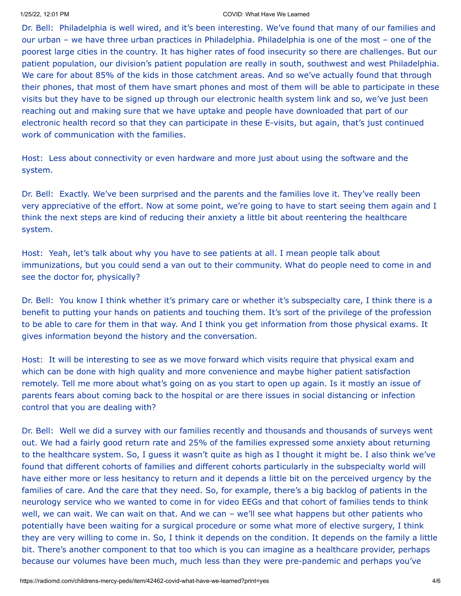### 1/25/22, 12:01 PM COVID: What Have We Learned

Dr. Bell: Philadelphia is well wired, and it's been interesting. We've found that many of our families and our urban – we have three urban practices in Philadelphia. Philadelphia is one of the most – one of the poorest large cities in the country. It has higher rates of food insecurity so there are challenges. But our patient population, our division's patient population are really in south, southwest and west Philadelphia. We care for about 85% of the kids in those catchment areas. And so we've actually found that through their phones, that most of them have smart phones and most of them will be able to participate in these visits but they have to be signed up through our electronic health system link and so, we've just been reaching out and making sure that we have uptake and people have downloaded that part of our electronic health record so that they can participate in these E-visits, but again, that's just continued work of communication with the families.

Host: Less about connectivity or even hardware and more just about using the software and the system.

Dr. Bell: Exactly. We've been surprised and the parents and the families love it. They've really been very appreciative of the effort. Now at some point, we're going to have to start seeing them again and I think the next steps are kind of reducing their anxiety a little bit about reentering the healthcare system.

Host: Yeah, let's talk about why you have to see patients at all. I mean people talk about immunizations, but you could send a van out to their community. What do people need to come in and see the doctor for, physically?

Dr. Bell: You know I think whether it's primary care or whether it's subspecialty care, I think there is a benefit to putting your hands on patients and touching them. It's sort of the privilege of the profession to be able to care for them in that way. And I think you get information from those physical exams. It gives information beyond the history and the conversation.

Host: It will be interesting to see as we move forward which visits require that physical exam and which can be done with high quality and more convenience and maybe higher patient satisfaction remotely. Tell me more about what's going on as you start to open up again. Is it mostly an issue of parents fears about coming back to the hospital or are there issues in social distancing or infection control that you are dealing with?

Dr. Bell: Well we did a survey with our families recently and thousands and thousands of surveys went out. We had a fairly good return rate and 25% of the families expressed some anxiety about returning to the healthcare system. So, I guess it wasn't quite as high as I thought it might be. I also think we've found that different cohorts of families and different cohorts particularly in the subspecialty world will have either more or less hesitancy to return and it depends a little bit on the perceived urgency by the families of care. And the care that they need. So, for example, there's a big backlog of patients in the neurology service who we wanted to come in for video EEGs and that cohort of families tends to think well, we can wait. We can wait on that. And we can – we'll see what happens but other patients who potentially have been waiting for a surgical procedure or some what more of elective surgery, I think they are very willing to come in. So, I think it depends on the condition. It depends on the family a little bit. There's another component to that too which is you can imagine as a healthcare provider, perhaps because our volumes have been much, much less than they were pre-pandemic and perhaps you've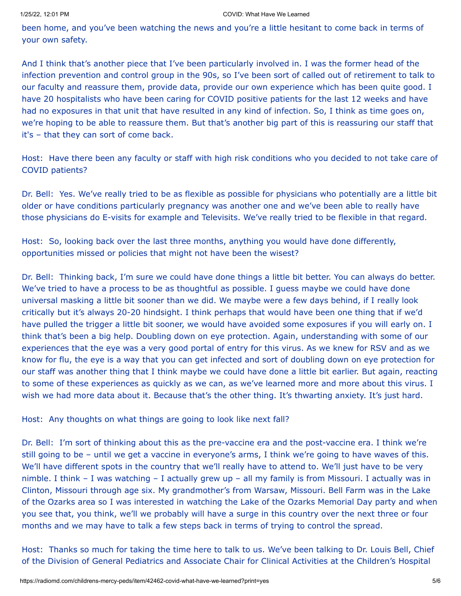been home, and you've been watching the news and you're a little hesitant to come back in terms of your own safety.

And I think that's another piece that I've been particularly involved in. I was the former head of the infection prevention and control group in the 90s, so I've been sort of called out of retirement to talk to our faculty and reassure them, provide data, provide our own experience which has been quite good. I have 20 hospitalists who have been caring for COVID positive patients for the last 12 weeks and have had no exposures in that unit that have resulted in any kind of infection. So, I think as time goes on, we're hoping to be able to reassure them. But that's another big part of this is reassuring our staff that it's – that they can sort of come back.

Host: Have there been any faculty or staff with high risk conditions who you decided to not take care of COVID patients?

Dr. Bell: Yes. We've really tried to be as flexible as possible for physicians who potentially are a little bit older or have conditions particularly pregnancy was another one and we've been able to really have those physicians do E-visits for example and Televisits. We've really tried to be flexible in that regard.

Host: So, looking back over the last three months, anything you would have done differently, opportunities missed or policies that might not have been the wisest?

Dr. Bell: Thinking back, I'm sure we could have done things a little bit better. You can always do better. We've tried to have a process to be as thoughtful as possible. I guess maybe we could have done universal masking a little bit sooner than we did. We maybe were a few days behind, if I really look critically but it's always 20-20 hindsight. I think perhaps that would have been one thing that if we'd have pulled the trigger a little bit sooner, we would have avoided some exposures if you will early on. I think that's been a big help. Doubling down on eye protection. Again, understanding with some of our experiences that the eye was a very good portal of entry for this virus. As we knew for RSV and as we know for flu, the eye is a way that you can get infected and sort of doubling down on eye protection for our staff was another thing that I think maybe we could have done a little bit earlier. But again, reacting to some of these experiences as quickly as we can, as we've learned more and more about this virus. I wish we had more data about it. Because that's the other thing. It's thwarting anxiety. It's just hard.

Host: Any thoughts on what things are going to look like next fall?

Dr. Bell: I'm sort of thinking about this as the pre-vaccine era and the post-vaccine era. I think we're still going to be – until we get a vaccine in everyone's arms, I think we're going to have waves of this. We'll have different spots in the country that we'll really have to attend to. We'll just have to be very nimble. I think – I was watching – I actually grew up – all my family is from Missouri. I actually was in Clinton, Missouri through age six. My grandmother's from Warsaw, Missouri. Bell Farm was in the Lake of the Ozarks area so I was interested in watching the Lake of the Ozarks Memorial Day party and when you see that, you think, we'll we probably will have a surge in this country over the next three or four months and we may have to talk a few steps back in terms of trying to control the spread.

Host: Thanks so much for taking the time here to talk to us. We've been talking to Dr. Louis Bell, Chief of the Division of General Pediatrics and Associate Chair for Clinical Activities at the Children's Hospital